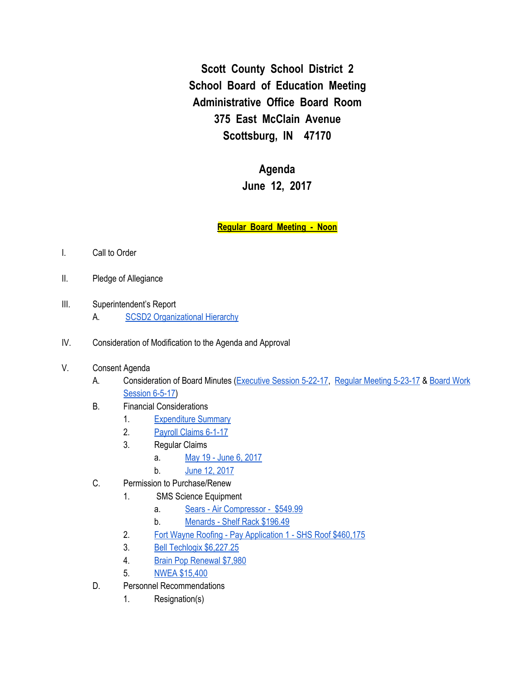**Scott County School District 2 School Board of Education Meeting Administrative Office Board Room 375 East McClain Avenue Scottsburg, IN 47170**

> **Agenda June 12, 2017**

**Regular Board Meeting - Noon**

- I. Call to Order
- II. Pledge of Allegiance
- III. Superintendent's Report A. **SCSD2 [Organizational](https://docs.google.com/drawings/d/1vpEyM3cH3PLCwwllGxxNXFJKdg5M4OkP_3FGkiwHqV8/edit) Hierarchy**
- IV. Consideration of Modification to the Agenda and Approval
- V. Consent Agenda
	- A. Consideration of Board Minutes [\(Executive](https://docs.google.com/document/d/1v7zptpyna2AXzpo1fnfaaNK5rjmW012igyEJ1UQdi0E/edit) Session 5-22-17, Regular [Meeting](https://docs.google.com/document/d/1LivaOLWSa4p_UuUj6stgoLB0UzV_g84sswFBhvO2Yz4/edit) 5-23-17 & [Board](https://docs.google.com/document/d/17A_MtHumm6oyZV6zYrOKg7Xcz62eyzzlXiClcPI1eaE/edit) Work [Session](https://docs.google.com/document/d/17A_MtHumm6oyZV6zYrOKg7Xcz62eyzzlXiClcPI1eaE/edit) 6-5-17)
	- B. Financial Considerations
		- 1. [Expenditure](https://drive.google.com/file/d/0BxXvxnGh3EX1X3owS1hzTE9ER1ZqeUw3dHVjQnA5cjNiRWxn/view) Summary
		- 2. [Payroll](https://drive.google.com/file/d/0BxXvxnGh3EX1Ri1PWEI2VUV1QUw1dXFJXzdvbTUwTS1GRGpv/view) Claims 6-1-17
		- 3. Regular Claims
			- a. May 19 June 6, [2017](https://drive.google.com/file/d/0BxXvxnGh3EX1blRMVGJPaVVPbW16TC1qaE8zU0tNemFOc0FF/view)
			- b. June 12, [2017](https://drive.google.com/file/d/0BxXvxnGh3EX1VUNnUllQUVN2WWFzOXVkNTdCOEVGZE45eWNJ/view)
	- C. Permission to Purchase/Renew
		- 1. SMS Science Equipment
			- a. Sears Air [Compressor](https://drive.google.com/file/d/0BxXvxnGh3EX1T0VSVklfVVFpWldPQ3k4cTJtZXZ2QzhZU1pF/view) \$549.99
			- b. [Menards](https://drive.google.com/file/d/0BxXvxnGh3EX1aktpMFE2c2Z2UVpaT1JzTVJ6MTJ4U0RnQ3ZN/view) Shelf Rack \$196.49
		- 2. Fort Wayne Roofing Pay [Application](https://drive.google.com/file/d/0BxXvxnGh3EX1YmY3cVpqcUJuWmNFYWR5TWpPOE5lUXRnMGFz/view) 1 SHS Roof \$460,175
		- 3. Bell Techlogix [\\$6,227.25](https://drive.google.com/file/d/0BxXvxnGh3EX1ejFrem9IQnZRdkE4Z2l3X1J5VmcwYjhucjdn/view)
		- 4. Brain Pop [Renewal](https://drive.google.com/file/d/0BxXvxnGh3EX1djlTUWFuRG1ONmhvem5MbWQ1T3RRRDdOTHlj/view) \$7,980
		- 5. NWEA [\\$15,400](https://drive.google.com/file/d/0BxXvxnGh3EX1SnBoMVI5ZlY0WE1BZFZxdWNCS3l3LWJQa2FR/view)
	- D. Personnel Recommendations
		- 1. Resignation(s)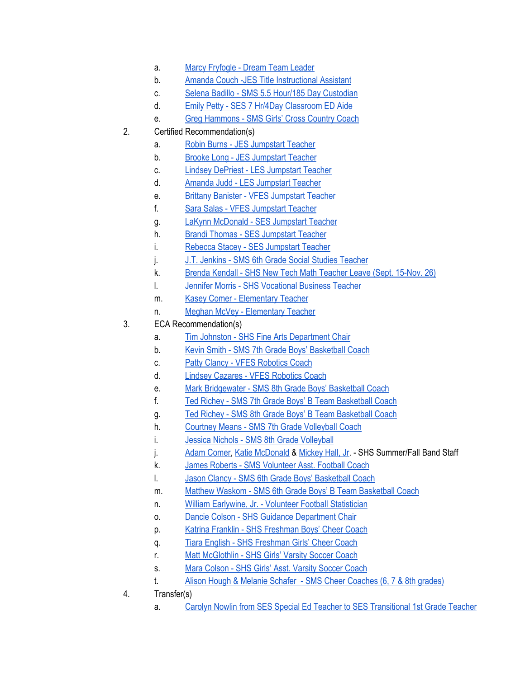- a. Marcy [Fryfogle](https://drive.google.com/file/d/0BxXvxnGh3EX1TEN6YnNndkp1NEI5RlNGb3g5cEV6bS1ZN1dj/view) Dream Team Leader
- b. Amanda Couch -JES Title [Instructional](https://drive.google.com/file/d/0BxXvxnGh3EX1NU5GU29LTmtUbG1hRkNBWFlUNEtJZFk2LS1F/view) Assistant
- c. Selena Badillo SMS 5.5 Hour/185 Day [Custodian](https://drive.google.com/file/d/0BxXvxnGh3EX1X2JKRG1PVU1LdGx0cGppbTREWmNZTUNTb2k0/view)
- d. Emily Petty SES 7 Hr/4Day [Classroom](https://drive.google.com/file/d/0BxXvxnGh3EX1bWdaU1BDdXNNQkp1TkR6WkpzbFBHSEdRamJR/view) ED Aide
- e. Greg [Hammons](https://drive.google.com/file/d/0BxXvxnGh3EX1SmZpVWtibEhpeU9veV8yck5CWGpWd1cwUUww/view) SMS Girls' Cross Country Coach
- 2. Certified Recommendation(s)
	- a. Robin Burns JES [Jumpstart](https://drive.google.com/file/d/0BxXvxnGh3EX1enR4c005RHlQLXQzQy1zRnFWMzhsU3FNM0g4/view) Teacher
	- b. Brooke Long JES [Jumpstart](https://drive.google.com/file/d/0BxXvxnGh3EX1Mm9tM21oczNxNXpWZEh1dEl3R3lVNXFpUlJF/view) Teacher
	- c. Lindsey DePriest LES [Jumpstart](https://drive.google.com/file/d/0BxXvxnGh3EX1UEU4R2c1Qjg1XzJhUWE0elJLSF9Hb2tIWktF/view) Teacher
	- d. Amanda Judd LES [Jumpstart](https://drive.google.com/file/d/0BxXvxnGh3EX1bW5SMWVnUEZPb090S0ZPOEcxSm1yRFE1MlVR/view) Teacher
	- e. Brittany Banister VFES [Jumpstart](https://drive.google.com/file/d/0BxXvxnGh3EX1cVZXREhieEtiU1lxa2xta2JZNDE4dW82MEdn/view) Teacher
	- f. Sara Salas VFES [Jumpstart](https://drive.google.com/file/d/0BxXvxnGh3EX1LXJYQ2VjZkhSS2FUdzVIVi1EN0VONlRncUpJ/view) Teacher
	- g. LaKynn [McDonald](https://drive.google.com/file/d/0BxXvxnGh3EX1SFR3OE1ld194elhWcHd5T1NnWGMtQ29fVGpV/view) SES Jumpstart Teacher
	- h. Brandi Thomas SES [Jumpstart](https://drive.google.com/file/d/0BxXvxnGh3EX1YW1wTWhsZWdhNTBMN3RhR3JaUlVKUDFhMDZ3/view) Teacher
	- i. Rebecca Stacey SES [Jumpstart](https://drive.google.com/file/d/0BxXvxnGh3EX1ZlFzbHRHSU9aWkN5V19ndk54ZG9ha1B1YkZZ/view) Teacher
	- j. J.T. Jenkins SMS 6th Grade Social Studies [Teacher](https://drive.google.com/file/d/0BxXvxnGh3EX1VlhVbXlYUnpaTUhMTUJlZktfSFBtOGcwWTNN/view)
	- k. Brenda Kendall SHS New Tech Math [Teacher](https://drive.google.com/file/d/0BxXvxnGh3EX1b3hMYTlIQk9lSlVBNkdQSFZCOEd1dlRWLTc0/view) Leave (Sept. 15-Nov. 26)
	- l. Jennifer Morris SHS [Vocational](https://drive.google.com/file/d/0BxXvxnGh3EX1Vkc3ZWdCV3lwVk1UR1FMZjAxcUk3Y2VidlNV/view) Business Teache[r](https://drive.google.com/file/d/0BxXvxnGh3EX1Vkc3ZWdCV3lwVk1UR1FMZjAxcUk3Y2VidlNV/view)
	- m. Kasey Comer [Elementary](https://drive.google.com/file/d/0BxXvxnGh3EX1SDBTM1RCUmVXX3ZnRVpoQ3d2NmR6Ul9wMmZj/view) Teacher
	- n. Meghan McVey [Elementary](https://drive.google.com/file/d/0BxXvxnGh3EX1aWJpdEpCZ0xmblRyVzI1R0ZlUjhjcm00ZjBJ/view) Teacher
- 3. ECA Recommendation(s)
	- a. Tim Johnston SHS Fine Arts [Department](https://drive.google.com/file/d/0BxXvxnGh3EX1RWhubEt5cVZkLTlpN3pEQUpGeDFkSGlKT2pj/view) Chair
	- b. Kevin Smith SMS 7th Grade Boys' [Basketball](https://drive.google.com/file/d/0BxXvxnGh3EX1bEdTc0FFZmoycnN6enBra0F1alVJTmZnalNn/view) Coach
	- c. Patty Clancy VFES [Robotics](https://drive.google.com/file/d/0BxXvxnGh3EX1SF9GNzRhRTBtUnpORURqVG5qNXkzdnZsZFpF/view) Coach
	- d. Lindsey Cazares VFES [Robotics](https://drive.google.com/file/d/0BxXvxnGh3EX1SUhiVzdBN0FtN296THZFb193Ny1PZXE4QTRV/view) Coach
	- e. Mark [Bridgewater](https://drive.google.com/file/d/0BxXvxnGh3EX1VnJwUGF4U3g3SUZMeXNnbW5ac2V5MWtlZTR3/view) SMS 8th Grade Boys' Basketball Coach
	- f. Ted Richey SMS 7th Grade Boys' B Team [Basketball](https://drive.google.com/file/d/0BxXvxnGh3EX1MWhDdl9kTEE3VXZIbXYwYjFTXzFkS2loaWlF/view) Coach
	- g. Ted Richey SMS 8th Grade Boys' B Team [Basketball](https://drive.google.com/file/d/0BxXvxnGh3EX1amdDUzVzcnd4aldyWkpLa01WbEVsSFYtS3hN/view) Coach
	- h. Courtney Means SMS 7th Grade [Volleyball](https://drive.google.com/file/d/0BxXvxnGh3EX1UmRYTU5ibC1kNVowWHktNm1OVzFSb1Y2Z0tn/view) Coach
	- i. Jessica Nichols SMS 8th Grade [Volleyball](https://drive.google.com/file/d/0BxXvxnGh3EX1SFEtVlFMN1lxWVltRE1mWWlIYzNrOU9uaWlV/view)
	- j. Adam [Comer](https://drive.google.com/file/d/0BxXvxnGh3EX1UDhVUEhhUm1NNVdWLVNfYzNfT3pQZ2RXdDlj/view), Katie [McDonald](https://drive.google.com/file/d/0BxXvxnGh3EX1TGdLY0hleGVuTk90dk1zaXlfS1NSRnk0bG44/view) & [Mickey](https://drive.google.com/file/d/0BxXvxnGh3EX1Q0MxZ3dYQnBPcnJaZTVQdktobV9Lalp6SUww/view) Hall, Jr. SHS Summer/Fall Band Staff
	- k. James Roberts SMS [Volunteer](https://drive.google.com/file/d/0BxXvxnGh3EX1bkc3d20tZ2w4c3hGTWVHaEItd1FpckZ0QV8w/view) Asst. Football Coach
	- l. Jason Clancy SMS 6th Grade Boys' [Basketball](https://drive.google.com/file/d/0BxXvxnGh3EX1ejR0WUljZkFmeTIzVW5iYU5tY29hRy1KSlBn/view) Coach
	- m. Matthew Waskom SMS 6th Grade Boys' B Team [Basketball](https://drive.google.com/file/d/0BxXvxnGh3EX1TDFWVWw5eGxiazd6U3d2LWU4U0ltOVV5NklB/view) Coach
	- n. William Earlywine, Jr. Volunteer Football [Statistician](https://drive.google.com/file/d/0BxXvxnGh3EX1V0RHTTVKUUVDd0U2amNmWmQyUjZJYTBMVzZ3/view)
	- o. Dancie Colson SHS Guidance [Department](https://drive.google.com/file/d/0BxXvxnGh3EX1VGRtWlRoZHJYeVZkZlVPM0hVQWkxYlNGZmlJ/view) Chair
	- p. Katrina Franklin SHS [Freshman](https://drive.google.com/file/d/0BxXvxnGh3EX1QzRDSjRtbTJYSzB1Q1BlU0xzLXoxejRpODc0/view) Boys' Cheer Coach
	- q. Tiara English SHS [Freshman](https://drive.google.com/file/d/0BxXvxnGh3EX1UmV6aWFBQ1lwUzJfaUs5dTdOY2hrcEpBeUJZ/view) Girls' Cheer Coach
	- r. Matt [McGlothlin](https://drive.google.com/file/d/0BxXvxnGh3EX1dGdDamM2SFY1cExlTXlGaTRWd3pXOXh1cjI0/view) SHS Girls' Varsity Soccer Coach
	- s. Mara [Colson](https://drive.google.com/file/d/0BxXvxnGh3EX1bFFueHhvU1FHUW5DSDRGZEt5dmtzV3B3RDJv/view) SHS Girls' Asst. Varsity Soccer Coach
	- t. Alison Hough & Melanie Schafer SMS Cheer [Coaches](https://drive.google.com/file/d/0BxXvxnGh3EX1c0I3V1g2dWtmdEZoQTNGVE90TS1nbnRlZnV3/view) (6, 7 & 8th grades)
- 4. Transfer(s)
	- a. Carolyn Nowlin from SES Special Ed Teacher to SES [Transitional](https://drive.google.com/file/d/0BxXvxnGh3EX1ZktGdHpSajd0WXF6dE0xczlXWl9ta2hYQ1FV/view) 1st Grade Teacher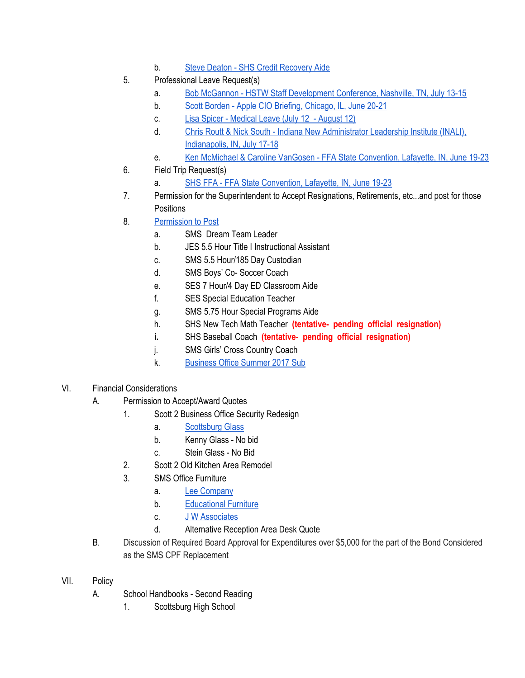- b. Steve Deaton SHS Credit [Recovery](https://drive.google.com/file/d/0BxXvxnGh3EX1TlB1MHNWaHlNNzc5TGxKUm1oalRWTUdXbkkw/view) Aide
- 5. Professional Leave Request(s)
	- a. Bob McGannon HSTW Staff [Development](https://drive.google.com/file/d/0BxXvxnGh3EX1VGRIT2Q1dTh4bUIxVHZwT3M1d21BRnVtZm5z/view) Conference, Nashville, TN, July 13-15
	- b. Scott Borden Apple CIO Briefing, [Chicago,](https://drive.google.com/file/d/0BxXvxnGh3EX1WW1hRkhSTEIxRXV5eC1nNUctcGpWMS1fMFJ3/view) IL, June 20-21
	- c. Lisa Spicer [Medical](https://drive.google.com/file/d/0BxXvxnGh3EX1b0N1czRlc1d3eU5hWjF4WHlwQnRMd0pBc0Vn/view) Leave (July 12 August 12)
	- d. Chris Routt & Nick South Indiana New [Administrator](https://drive.google.com/file/d/0BxXvxnGh3EX1YUtPSHZkUUlfaXlmVkdYeGJRT05UUHdDSllj/view) Leadership Institute (INALI), [Indianapolis,](https://drive.google.com/file/d/0BxXvxnGh3EX1YUtPSHZkUUlfaXlmVkdYeGJRT05UUHdDSllj/view) IN, July 17-18
	- e. Ken McMichael & Caroline VanGosen FFA State [Convention,](https://drive.google.com/file/d/0BxXvxnGh3EX1SFBMUVgyOHg5cEJlLUFoZ1lrQ3hUM3NuQVUw/view) Lafayette, IN, June 19-23
- 6. Field Trip Request(s)
	- a. SHS FFA FFA State [Convention,](https://drive.google.com/file/d/0BxXvxnGh3EX1X0M3NktaaEw3bFF0T1pCYUE3dEdNQi05amNJ/view) Lafayette, IN, June 19-23
- 7. Permission for the Superintendent to Accept Resignations, Retirements, etc...and post for those **Positions**
- 8. [Permission](https://docs.google.com/document/d/1lpSnOo7_FWNBycRJqmLU5G_AUTdycTH8rwieRotuVQs/edit) to Post
	- a. SMS Dream Team Leader
	- b. JES 5.5 Hour Title I Instructional Assistant
	- c. SMS 5.5 Hour/185 Day Custodian
	- d. SMS Boys' Co- Soccer Coach
	- e. SES 7 Hour/4 Day ED Classroom Aide
	- f. SES Special Education Teacher
	- g. SMS 5.75 Hour Special Programs Aide
	- h. SHS New Tech Math Teacher **(tentative- pending official resignation)**
	- **i.** SHS Baseball Coach **(tentative- pending official resignation)**
	- j. SMS Girls' Cross Country Coach
	- k. [Business](https://docs.google.com/a/scsd2.k12.in.us/document/d/1x0e7kZwrkIXP6A0OAuLxQRKjfl55Szdv7OE9bzXDxhg/edit?usp=sharing) Office Summer 2017 Sub
- VI. Financial Considerations
	- A. Permission to Accept/Award Quotes
		- 1. Scott 2 Business Office Security Redesign
			- a. [Scottsburg](https://drive.google.com/file/d/0BxXvxnGh3EX1WHBKTHE2QzNFSHlXSHNFLW5xT0YwRzc1UE9N/view) Glass
			- b. Kenny Glass No bid
			- c. Stein Glass No Bid
		- 2. Scott 2 Old Kitchen Area Remodel
		- 3. SMS Office Furniture
			- a. Lee [Company](https://drive.google.com/file/d/0BxXvxnGh3EX1a3dUWlhDRjctN3FGdFBYX2trQWFHUU82S1dn/view)
			- b. [Educational](https://drive.google.com/file/d/0BxXvxnGh3EX1aGxpVWdjVVVTZ1Y2ek5mV214VFMxRXVlQ2JJ/view) Furniture
			- c. J W [Associates](https://drive.google.com/file/d/0BxXvxnGh3EX1MHEwQlhtR1daQ2V1X3A5UjBoMXdZYlg0a3pj/view)
			- d. Alternative Reception Area Desk Quote
	- B. Discussion of Required Board Approval for Expenditures over \$5,000 for the part of the Bond Considered as the SMS CPF Replacement
- VII. Policy
	- A. School Handbooks Second Reading
		- 1. Scottsburg High School